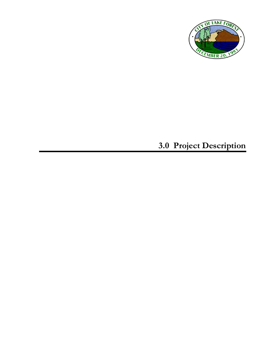

# **3.0 Project Description**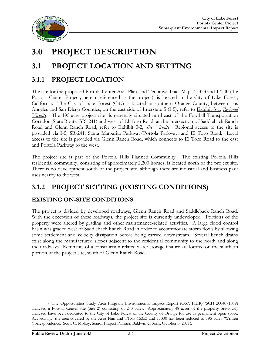

## **3.0 PROJECT DESCRIPTION**

## **3.1 PROJECT LOCATION AND SETTING**

### **3.1.1 PROJECT LOCATION**

The site for the proposed Portola Center Area Plan, and Tentative Tract Maps 15353 and 17300 (the Portola Center Project; herein referenced as the project), is located in the City of Lake Forest, California. The City of Lake Forest (City) is located in southern Orange County, between Los Angeles and San Diego Counties, on the east side of Interstate 5 (I-5); refer to Exhibit 3-1, *Regional*  Vicinity. The 195-acre project site<sup>1</sup> is generally situated northeast of the Foothill Transportation Corridor (State Route [SR]-241) and west of El Toro Road, at the intersection of Saddleback Ranch Road and Glenn Ranch Road; refer to Exhibit 3-2, *Site Vicinity*. Regional access to the site is provided via I-5, SR-241, Santa Margarita Parkway/Portola Parkway, and El Toro Road. Local access to the site is provided via Glenn Ranch Road, which connects to El Toro Road to the east and Portola Parkway to the west.

The project site is part of the Portola Hills Planned Community. The existing Portola Hills residential community, consisting of approximately 2,200 homes, is located north of the project site. There is no development south of the project site, although there are industrial and business park uses nearby to the west.

### **3.1.2 PROJECT SETTING (EXISTING CONDITIONS)**

### **EXISTING ON-SITE CONDITIONS**

The project is divided by developed roadways, Glenn Ranch Road and Saddleback Ranch Road. With the exception of these roadways, the project site is currently undeveloped. Portions of the property were altered by grading and other maintenance-related activities. A large flood control basin was graded west of Saddleback Ranch Road in order to accommodate storm flows by allowing some settlement and velocity dissipation before being carried downstream. Several bench drains exist along the manufactured slopes adjacent to the residential community to the north and along the roadways. Remnants of a construction-related water storage feature are located on the southern portion of the project site, south of Glenn Ranch Road.

 <sup>1</sup> The Opportunities Study Area Program Environmental Impact Report (OSA PEIR) (SCH 2004071039) analyzed a Portola Center Site (Site 2) consisting of 243 acres. Approximately 48 acres of the property previously analyzed have been dedicated to the City of Lake Forest or the County of Orange for use as permanent open space. Accordingly, the area covered by the Area Plan and TTMs 15353 and 17300 has been reduced to 195 acres (Written Correspondence: Scott C. Molloy, Senior Project Planner, Baldwin & Sons, October 3, 2011).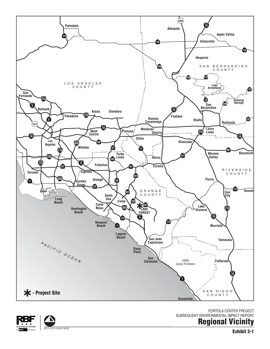**Exhibit 3-1**

**Regional Vicinity**

SUBSEQUENT ENVIRONMENTAL IMPACT REPORT







06/13 • JN 10-107644 [130079]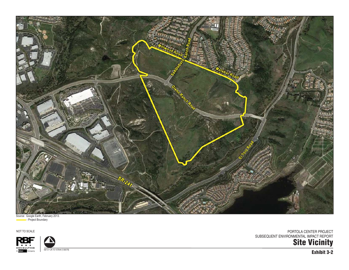

Source: Google Earth, February 2013. **Example Project Boundary** 

NOT TO SCALE



06/13 • JN 10-107644 [130079]

PORTOLA CENTER PROJECT SUBSEQUENT ENVIRONMENTAL IMPACT REPORT

**Site Vicinity**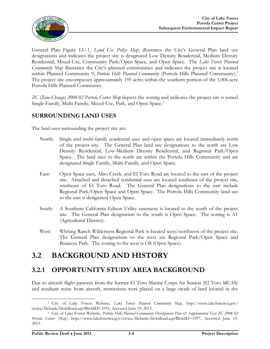

General Plan Figure LU-1, *Land Use Policy Map*, illustrates the City's General Plan land use designations and indicates the project site is designated Low Density Residential, Medium Density Residential, Mixed-Use, Community Park/Open Space, and Open Space. The *Lake Forest Planned Community Map* illustrates the City's planned communities and indicates the project site is located within Planned Community 9, *Portola Hills Planned Community* (Portola Hills Planned Community).<sup>2</sup> The project site encompasses approximately 195 acres within the southern portion of the 1,006-acre Portola Hills Planned Community.

*ZC (Zone Change) 2008-02 Portola Center Map* depicts the zoning and indicates the project site is zoned Single-Family, Multi-Family, Mixed-Use, Park, and Open Space.<sup>3</sup>

### **SURROUNDING LAND USES**

The land uses surrounding the project site are:

- North: Single and multi-family residential uses and open space are located immediately north of the project site. The General Plan land use designations to the north are Low Density Residential, Low-Medium Density Residential, and Regional Park/Open Space. The land uses to the north are within the Portola Hills Community and are designated Single Family, Multi-Family, and Open Space.
- East: Open Space uses, Aliso Creek, and El Toro Road are located to the east of the project site. Attached and detached residential uses are located southeast of the project site, southeast of El Toro Road. The General Plan designations to the east include Regional Park/Open Space and Open Space. The Portola Hills Community land use to the east is designated Open Space.
- South: A Southern California Edison Utility easement is located to the south of the project site. The General Plan designation to the south is Open Space. The zoning is A1 (Agricultural District).
- West: Whiting Ranch Wilderness Regional Park is located west/northwest of the project site. The General Plan designations to the west are Regional Park/Open Space and Business Park. The zoning to the west is OS (Open Space).

### **3.2 BACKGROUND AND HISTORY**

### **3.2.1 OPPORTUNITY STUDY AREA BACKGROUND**

Due to aircraft flight patterns from the former El Toro Marine Corps Air Station (El Toro MCAS) and resultant noise from aircraft, restrictions were placed on a large swath of land located in the

 <sup>2</sup> City of Lake Forest Website, *Lake Forest Planned Community Map*, <http://www.lakeforestca.gov/> civica/filebank/blobdload.asp?BlobID=3595, Accessed June 19, 2013.

<sup>3</sup> City of Lake Forest Website, *Portola Hills Planned Community Development Plan & Supplemental Text ZC 2008-02 Portola Center [Map]*, [http://www.lakeforestca.gov/civica/filebank/blobdload.asp?BlobID=3597,](http://www.lakeforestca.gov/civica/filebank/blobdload.asp?BlobID=3597) Accessed June 19, 2013.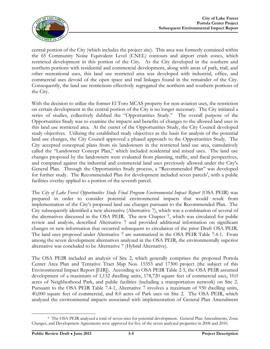

central portion of the City (which includes the project site). This area was formerly contained within the 65 Community Noise Equivalent Level (CNEL) contours and airport crash zones, which restricted development in this portion of the City. As the City developed in the southern and northern portions with residential and commercial development, along with areas of park, trail, and other recreational uses, this land use restricted area was developed with industrial, office, and commercial uses devoid of the open space and trail linkages found in the remainder of the City. Consequently, the land use restrictions effectively segregated the northern and southern portions of the City.

With the decision to utilize the former El Toro MCAS property for non-aviation uses, the restriction on certain development in the central portion of the City is no longer necessary. The City initiated a series of studies, collectively dubbed the "Opportunities Study." The overall purpose of the Opportunities Study was to examine the impacts and benefits of changes to the allowed land uses in this land use restricted area. At the outset of the Opportunities Study, the City Council developed study objectives. Utilizing the established study objectives as the basis for analysis of the potential land use changes, the City Council approved a phased approach to the Opportunities Study. The City accepted conceptual plans from six landowners in the restricted land use area, cumulatively called the "Landowner Concept Plan," which included residential and mixed uses. The land use changes proposed by the landowners were evaluated from planning, traffic, and fiscal perspectives, and compared against the industrial and commercial land uses previously allowed under the City's General Plan. Through the Opportunities Study process, a "Recommended Plan" was developed for further study. The Recommended Plan for development included seven parcels<sup>4</sup>, with a public facilities overlay applied to a portion of the seventh parcel.

The *City of Lake Forest Opportunities Study Final Program Environmental Impact Report* (OSA PEIR) was prepared in order to consider potential environmental impacts that would result from implementation of the City's proposed land use changes pursuant to the Recommended Plan. The City subsequently identified a new alternative (Alternative 7), which was a combination of several of the alternatives discussed in the OSA PEIR. The new Chapter 7, which was circulated for public review and analysis, described Alternative 7 and provided additional information on significant changes or new information that occurred subsequent to circulation of the prior Draft OSA PEIR. The land uses proposed under Alternative 7 are summarized in the OSA PEIR Table 7.4-1. From among the seven development alternatives analyzed in the OSA PEIR, the environmentally superior alternative was concluded to be Alternative 7 (Hybrid Alternative).

The OSA PEIR included an analysis of Site 2, which generally comprises the proposed Portola Center Area Plan and Tentative Tract Map Nos. 15353 and 17300 project (the subject of this Environmental Impact Report [EIR]). According to OSA PEIR Table 2-5, the OSA PEIR assumed development of a maximum of 1,132 dwelling units, 178,720 square feet of commercial uses, 10.0 acres of Neighborhood Park, and public facilities (including a transportation network) on Site 2. Pursuant to the OSA PEIR Table 7.4-1, Alternative 7 involves a maximum of 930 dwelling units, 40,000 square feet of commercial, and 8.0 acres of Park uses on Site 2. The OSA PEIR, which analyzed the environmental impacts associated with implementation of General Plan Amendment

 <sup>4</sup> The OSA PEIR analyzed a total of seven sites for potential development. General Plan Amendments, Zone Changes, and Development Agreements were approved for five of the seven analyzed properties in 2008 and 2010.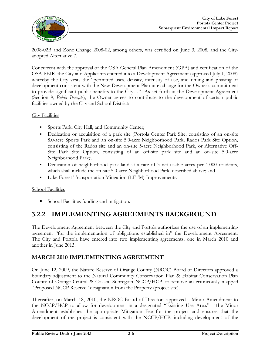

2008-02B and Zone Change 2008-02, among others, was certified on June 3, 2008, and the Cityadopted Alternative 7.

Concurrent with the approval of the OSA General Plan Amendment (GPA) and certification of the OSA PEIR, the City and Applicants entered into a Development Agreement (approved July 1, 2008) whereby the City vests the "permitted uses, density, intensity of use, and timing and phasing of development consistent with the New Development Plan in exchange for the Owner's commitment to provide significant public benefits to the City…" As set forth in the Development Agreement (Section 9, *Public Benefits*), the Owner agrees to contribute to the development of certain public facilities owned by the City and School District:

City Facilities

- Sports Park, City Hall, and Community Center;
- Dedication or acquisition of a park site (Portola Center Park Site, consisting of an on-site 8.0-acre Sports Park and an on-site 5.0-acre Neighborhood Park, Rados Park Site Option, consisting of the Rados site and an on-site 5-acre Neighborhood Park, or Alternative Off-Site Park Site Option, consisting of an off-site park site and an on-site 5.0-acre Neighborhood Park);
- Dedication of neighborhood park land at a rate of 3 net usable acres per 1,000 residents, which shall include the on-site 5.0-acre Neighborhood Park, described above; and
- Lake Forest Transportation Mitigation (LFTM) Improvements.

#### School Facilities

■ School Facilities funding and mitigation.

### **3.2.2 IMPLEMENTING AGREEMENTS BACKGROUND**

The Development Agreement between the City and Portola authorizes the use of an implementing agreement "for the implementation of obligations established in" the Development Agreement. The City and Portola have entered into two implementing agreements, one in March 2010 and another in June 2013.

#### **MARCH 2010 IMPLEMENTING AGREEMENT**

On June 12, 2009, the Nature Reserve of Orange County (NROC) Board of Directors approved a boundary adjustment to the Natural Community Conservation Plan & Habitat Conservation Plan County of Orange Central & Coastal Subregion NCCP/HCP, to remove an erroneously mapped "Proposed NCCP Reserve" designation from the Property (project site).

Thereafter, on March 18, 2010, the NROC Board of Directors approved a Minor Amendment to the NCCP/HCP to allow for development in a designated "Existing Use Area." The Minor Amendment establishes the appropriate Mitigation Fee for the project and ensures that the development of the project is consistent with the NCCP/HCP, including development of the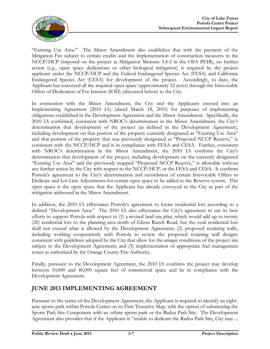

"Existing Use Area." The Minor Amendment also establishes that with the payment of the Mitigation Fee subject to certain credits and the implementation of construction measures in the NCCP/HCP (imposed on the project as Mitigation Measure 3.4-2 in the OSA PEIR), no further action (e.g., open space dedications or other biological mitigation) is required by the project applicant under the NCCP/HCP and the Federal Endangered Species Act (FESA) and California Endangered Species Act (CESA) for development of the project. Accordingly, to date, the Applicant has conveyed all the required open space (approximately 32 acres) through the Irrevocable Offers of Dedication of Fee Interest (IOD) (discussed below) to the City.

In connection with the Minor Amendment, the City and the Applicants entered into an Implementing Agreement (2010 IA) (dated March 18, 2010) for purposes of implementing obligations established in the Development Agreement and the Minor Amendment. Specifically, the 2010 IA confirmed, consistent with NROC's determination in the Minor Amendment, the City's determination that development of the project (as defined in the Development Agreement), including development on that portion of the property currently designated as "Existing Use Area" and that portion of the property that was previously designated as "Proposed NCCP Reserve," is consistent with the NCCP/HCP and is in compliance with FESA and CESA. Further, consistent with NROC's determination in the Minor Amendment, the 2010 IA confirms the City's determination that development of the project, including development on the currently designated "Existing Use Area" and the previously mapped "Proposed NCCP Reserve," is allowable without any further action by the City with respect to the NCCP/HCP, or the FESA and CESA. It confirms Portola's agreement to the City's determination and recordation of certain Irrevocable Offers to Dedicate and Lot Line Adjustments for certain open space to be added to the Reserve system. This open space is the open space that the Applicant has already conveyed to the City as part of the mitigation addressed in the Minor Amendment.

In addition, the 2010 IA effectuates Portola's agreement to locate residential lots according to a defined "Development Area." The 2010 IA also effectuates the City's agreement to use its best efforts to support Portola with respect to (1) a revised land use plan, which would add up to twenty (20) residential lots to the planning area north of Glenn Ranch Road, but the total residential lots shall not exceed what is allowed by the Development Agreement; (2) proposed retaining walls, including working cooperatively with Portola to review the proposed retaining wall designs consistent with guidelines adopted by the City that allow for the unique conditions of the project site subject to the Development Agreement; and (3) implementation of appropriate fuel management zones as authorized by the Orange County Fire Authority.

Finally, pursuant to the Development Agreement, the 2010 IA confirms the project may develop between 10,000 and 40,000 square feet of commercial space and be in compliance with the Development Agreement.

### **JUNE 2013 IMPLEMENTING AGREEMENT**

Pursuant to the terms of the Development Agreement, the Applicant is required to identify an eightacre sports park within Portola Center on its First Tentative Map, with the option of substituting the Sports Park Site Component with an offsite sports park or the Rados Park Site. The Development Agreement also provides that if the Applicant is "unable to dedicate the Rados Park Site, City may ...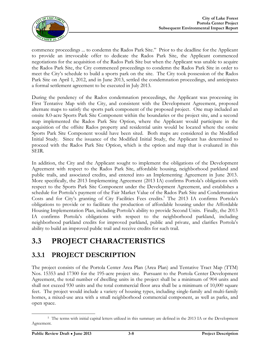

commence proceedings ... to condemn the Rados Park Site." Prior to the deadline for the Applicant to provide an irrevocable offer to dedicate the Rados Park Site, the Applicant commenced negotiations for the acquisition of the Rados Park Site but when the Applicant was unable to acquire the Rados Park Site, the City commenced proceedings to condemn the Rados Park Site in order to meet the City's schedule to build a sports park on the site. The City took possession of the Rados Park Site on April 1, 2012, and in June 2013, settled the condemnation proceedings, and anticipates a formal settlement agreement to be executed in July 2013.

During the pendency of the Rados condemnation proceedings, the Applicant was processing its First Tentative Map with the City, and consistent with the Development Agreement, proposed alternate maps to satisfy the sports park component of the proposed project. One map included an onsite 8.0-acre Sports Park Site Component within the boundaries or the project site, and a second map implemented the Rados Park Site Option, where the Applicant would participate in the acquisition of the offsite Rados property and residential units would be located where the onsite Sports Park Site Component would have been sited. Both maps are considered in the Modified Initial Study. Since the issuance of the Modified Initial Study, the Applicant has determined to proceed with the Rados Park Site Option, which is the option and map that is evaluated in this SEIR.

In addition, the City and the Applicant sought to implement the obligations of the Development Agreement with respect to the Rados Park Site, affordable housing, neighborhood parkland and public trails, and associated credits, and entered into an Implementing Agreement in June 2013. More specifically, the 2013 Implementing Agreement (2013 IA) confirms Portola's obligations with respect to the Sports Park Site Component under the Development Agreement, and establishes a schedule for Portola's payment of the Fair Market Value of the Rados Park Site and Condemnation Costs and for City's granting of City Facilities Fees credits.<sup>5</sup> The 2013 IA confirms Portola's obligations to provide or to facilitate the production of affordable housing under the Affordable Housing Implementation Plan, including Portola's ability to provide Second Units. Finally, the 2013 IA confirms Portola's obligations with respect to the neighborhood parkland, including neighborhood parkland credits for improved parkland, public and private, and clarifies Portola's ability to build an improved public trail and receive credits for such trail.

## **3.3 PROJECT CHARACTERISTICS**

### **3.3.1 PROJECT DESCRIPTION**

The project consists of the Portola Center Area Plan (Area Plan) and Tentative Tract Map (TTM) Nos. 15353 and 17300 for the 195-acre project site. Pursuant to the Portola Center Development Agreement, the total number of dwelling units in the project shall be a minimum of 904 units and shall not exceed 930 units and the total commercial floor area shall be a minimum of 10,000 square feet. The project would include a variety of housing types, including single-family and multi-family homes, a mixed-use area with a small neighborhood commercial component, as well as parks, and open space.

 <sup>5</sup> The terms with initial capital letters utilized in this summary are defined in the 2013 IA or the Development Agreement.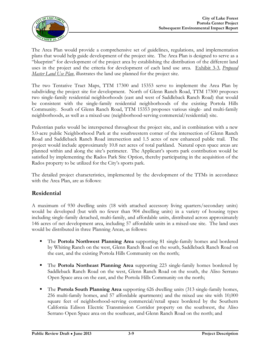

The Area Plan would provide a comprehensive set of guidelines, regulations, and implementation plans that would help guide development of the project site. The Area Plan is designed to serve as a "blueprint" for development of the project area by establishing the distribution of the different land uses in the project and the criteria for development of each land use area. Exhibit 3-3, *Proposed Master Land Use Plan*, illustrates the land use planned for the project site.

The two Tentative Tract Maps, TTM 17300 and 15353 serve to implement the Area Plan by subdividing the project site for development. North of Glenn Ranch Road, TTM 17300 proposes two single-family residential neighborhoods (east and west of Saddleback Ranch Road) that would be consistent with the single-family residential neighborhoods of the existing Portola Hills Community. South of Glenn Ranch Road, TTM 15353 proposes various single- and multi-family neighborhoods, as well as a mixed-use (neighborhood-serving commercial/residential) site.

Pedestrian parks would be interspersed throughout the project site, and in combination with a new 5.0-acre public Neighborhood Park at the southwestern corner of the intersection of Glenn Ranch Road and Saddleback Ranch Road intersection and 1.5 acres of new enhanced public trail. The project would include approximately 10.8 net acres of total parkland. Natural open space areas are planned within and along the site's perimeter. The Applicant's sports park contribution would be satisfied by implementing the Rados Park Site Option, thereby participating in the acquisition of the Rados property to be utilized for the City's sports park.

The detailed project characteristics, implemented by the development of the TTMs in accordance with the Area Plan, are as follows:

#### **Residential**

A maximum of 930 dwelling units (18 with attached accessory living quarters/secondary units) would be developed (but with no fewer than 904 dwelling units) in a variety of housing types including single-family detached, multi-family, and affordable units, distributed across approximately 146 acres of net development area, including 57 affordable units in a mixed-use site. The land uses would be distributed in three Planning Areas, as follows:

- The **Portola Northwest Planning Area** supporting 81 single-family homes and bordered by Whiting Ranch on the west, Glenn Ranch Road on the south, Saddleback Ranch Road on the east, and the existing Portola Hills Community on the north;
- **The Portola Northeast Planning Area** supporting 223 single-family homes bordered by Saddleback Ranch Road on the west, Glenn Ranch Road on the south, the Aliso Serrano Open Space area on the east, and the Portola Hills Community on the north;
- The **Portola South Planning Area** supporting 626 dwelling units (313 single-family homes, 256 multi-family homes, and 57 affordable apartments) and the mixed use site with 10,000 square feet of neighborhood-serving commercial/retail space bordered by the Southern California Edison Electric Transmission Corridor property on the southwest, the Aliso Serrano Open Space area on the southeast, and Glenn Ranch Road on the north; and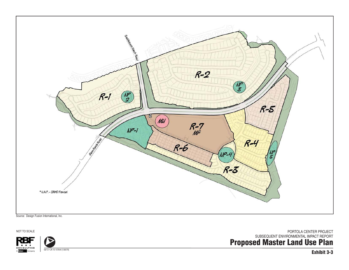

NOT TO SCALE

CONSULTING Company

06/13 • JN 10-107644 [130079]

**Proposed Master Land Use Plan** PORTOLA CENTER PROJECT SUBSEQUENT ENVIRONMENTAL IMPACT REPORT

**Exhibit 3-3**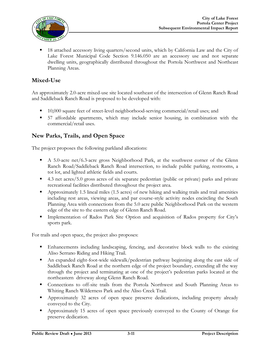

 18 attached accessory living quarters/second units, which by California Law and the City of Lake Forest Municipal Code Section 9.146.050 are an accessory use and not separate dwelling units, geographically distributed throughout the Portola Northwest and Northeast Planning Areas.

### **Mixed-Use**

An approximately 2.0-acre mixed-use site located southeast of the intersection of Glenn Ranch Road and Saddleback Ranch Road is proposed to be developed with:

- 10,000 square feet of street-level neighborhood-serving commercial/retail uses; and
- 57 affordable apartments, which may include senior housing, in combination with the commercial/retail uses.

### **New Parks, Trails, and Open Space**

The project proposes the following parkland allocations:

- A 5.0-acre net/6.3-acre gross Neighborhood Park, at the southwest corner of the Glenn Ranch Road/Saddleback Ranch Road intersection, to include public parking, restrooms, a tot lot, and lighted athletic fields and courts.
- 4.3 net acres/5.0 gross acres of six separate pedestrian (public or private) parks and private recreational facilities distributed throughout the project area.
- Approximately 1.5 lineal miles (1.5 acres) of new hiking and walking trails and trail amenities including rest areas, viewing areas, and par course-style activity nodes encircling the South Planning Area with connections from the 5.0 acre public Neighborhood Park on the western edge of the site to the eastern edge of Glenn Ranch Road.
- Implementation of Rados Park Site Option and acquisition of Rados property for City's sports park.

For trails and open space, the project also proposes:

- Enhancements including landscaping, fencing, and decorative block walls to the existing Aliso Serrano Riding and Hiking Trail.
- An expanded eight-foot-wide sidewalk/pedestrian pathway beginning along the east side of Saddleback Ranch Road at the northern edge of the project boundary, extending all the way through the project and terminating at one of the project's pedestrian parks located at the northeastern driveway along Glenn Ranch Road.
- **Connections to off-site trails from the Portola Northwest and South Planning Areas to** Whiting Ranch Wilderness Park and the Aliso Creek Trail.
- Approximately 32 acres of open space preserve dedications, including property already conveyed to the City.
- Approximately 15 acres of open space previously conveyed to the County of Orange for preserve dedication.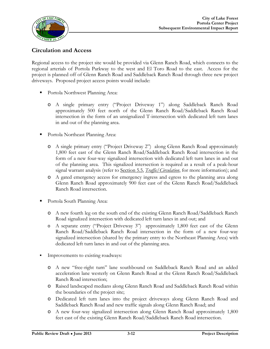

### **Circulation and Access**

Regional access to the project site would be provided via Glenn Ranch Road, which connects to the regional arterials of Portola Parkway to the west and El Toro Road to the east. Access for the project is planned off of Glenn Ranch Road and Saddleback Ranch Road through three new project driveways. Proposed project access points would include:

- Portola Northwest Planning Area:
	- o A single primary entry ("Project Driveway 1") along Saddleback Ranch Road approximately 500 feet north of the Glenn Ranch Road/Saddleback Ranch Road intersection in the form of an unsignalized T-intersection with dedicated left turn lanes in and out of the planning area.
- Portola Northeast Planning Area:
	- o A single primary entry ("Project Driveway 2") along Glenn Ranch Road approximately 1,800 feet east of the Glenn Ranch Road/Saddleback Ranch Road intersection in the form of a new four-way signalized intersection with dedicated left turn lanes in and out of the planning area. This signalized intersection is required as a result of a peak-hour signal warrant analysis (refer to Section 5.5, *Traffic/Circulation*, for more information); and
	- o A gated emergency access for emergency ingress and egress to the planning area along Glenn Ranch Road approximately 900 feet east of the Glenn Ranch Road/Saddleback Ranch Road intersection.
- Portola South Planning Area:
	- o A new fourth leg on the south end of the existing Glenn Ranch Road/Saddleback Ranch Road signalized intersection with dedicated left turn lanes in and out; and
	- o A separate entry ("Project Driveway 3") approximately 1,800 feet east of the Glenn Ranch Road/Saddleback Ranch Road intersection in the form of a new four-way signalized intersection (shared by the primary entry to the Northeast Planning Area) with dedicated left turn lanes in and out of the planning area.
- Improvements to existing roadways:
	- o A new "free-right turn" lane southbound on Saddleback Ranch Road and an added acceleration lane westerly on Glenn Ranch Road at the Glenn Ranch Road/Saddleback Ranch Road intersection;
	- o Raised landscaped medians along Glenn Ranch Road and Saddleback Ranch Road within the boundaries of the project site;
	- o Dedicated left turn lanes into the project driveways along Glenn Ranch Road and Saddleback Ranch Road and new traffic signals along Glenn Ranch Road; and
	- o A new four-way signalized intersection along Glenn Ranch Road approximately 1,800 feet east of the existing Glenn Ranch Road/Saddleback Ranch Road intersection.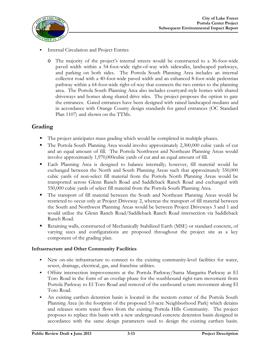

- Internal Circulation and Project Entries
	- o The majority of the project's internal streets would be constructed to a 36-foot-wide paved width within a 54-foot-wide right-of-way with sidewalks, landscaped parkways, and parking on both sides. The Portola South Planning Area includes an internal collector road with a 40-foot-wide paved width and an enhanced 8-foot-wide pedestrian pathway within a 64-foot-wide right-of-way that connects the two entries to the planning area. The Portola South Planning Area also includes courtyard-style homes with shared driveways and homes along shared drive isles. The project proposes the option to gate the entrances. Gated entrances have been designed with raised landscaped medians and in accordance with Orange County design standards for gated entrances (OC Standard Plan 1107) and shown on the TTMs.

### **Grading**

- The project anticipates mass grading which would be completed in multiple phases.
- The Portola South Planning Area would involve approximately 2,300,000 cubic yards of cut and an equal amount of fill. The Portola Northwest and Northeast Planning Areas would involve approximately 1,970,000cubic yards of cut and an equal amount of fill.
- Each Planning Area is designed to balance internally; however, fill material would be exchanged between the North and South Planning Areas such that approximately 550,000 cubic yards of non-select fill material from the Portola North Planning Areas would be transported across Glenn Ranch Road and Saddleback Ranch Road and exchanged with 550,000 cubic yards of select fill material from the Portola South Planning Area.
- The transport of fill material between the South and Northeast Planning Areas would be restricted to occur only at Project Driveway 2, whereas the transport of fill material between the South and Northwest Planning Areas would be between Project Driveways 3 and 1 and would utilize the Glenn Ranch Road/Saddleback Ranch Road intersection via Saddleback Ranch Road.
- Retaining walls, constructed of Mechanically Stabilized Earth (MSE) or standard concrete, of varying sizes and configurations are proposed throughout the project site as a key component of the grading plan.

#### **Infrastructure and Other Community Facilities**

- New on-site infrastructure to connect to the existing community-level facilities for water, sewer, drainage, electrical, gas, and franchise utilities.
- Offsite intersection improvements at the Portola Parkway/Santa Margarita Parkway at El Toro Road in the form of an overlap phase for the southbound right-turn movement from Portola Parkway to El Toro Road and removal of the eastbound u-turn movement along El Toro Road.
- An existing earthen detention basin is located in the western corner of the Portola South Planning Area (in the footprint of the proposed 5.0-acre Neighborhood Park) which detains and releases storm water flows from the existing Portola Hills Community. The project proposes to replace this basin with a new underground concrete detention basin designed in accordance with the same design parameters used to design the existing earthen basin.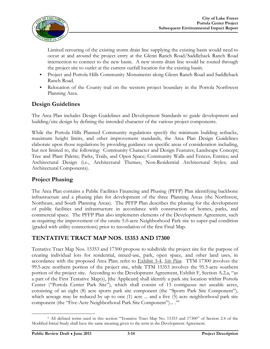

Limited rerouting of the existing storm drain line supplying the existing basin would need to occur at and around the project entry at the Glenn Ranch Road/Saddleback Ranch Road intersection to connect to the new basin. A new storm drain line would be routed through the project site to outlet at the current outfall location for the existing basin.

- Project and Portola Hills Community Monuments along Glenn Ranch Road and Saddleback Ranch Road.
- Relocation of the County trail on the western project boundary in the Portola Northwest Planning Area.

### **Design Guidelines**

The Area Plan includes Design Guidelines and Development Standards to guide development and building/site design by defining the intended character of the various project components.

While the Portola Hills Planned Community regulations specify the minimum building setbacks, maximum height limits, and other improvement standards, the Area Plan Design Guidelines elaborate upon those regulations by providing guidance on specific areas of consideration including, but not limited to, the following: Community Character and Design Features; Landscape Concept; Tree and Plant Palette; Parks, Trails, and Open Space; Community Walls and Fences; Entries; and Architectural Design (i.e., Architectural Themes, Non-Residential Architectural Styles; and Architectural Components).

#### **Project Phasing**

The Area Plan contains a Public Facilities Financing and Phasing (PFFP) Plan identifying backbone infrastructure and a phasing plan for development of the three Planning Areas (the Northwest, Northeast, and South Planning Areas). The PFFP Plan describes the phasing for the development of public facilities and infrastructure in accordance with construction of homes, parks, and commercial space. The PFFP Plan also implements elements of the Development Agreement, such as requiring the improvement of the onsite 5.0-acre Neighborhood Park site to super-pad condition (graded with utility connections) prior to recordation of the first Final Map.

#### **TENTATIVE TRACT MAP NOS. 15353 AND 17300**

Tentative Tract Map Nos. 15353 and 17300 propose to subdivide the project site for the purpose of creating individual lots for residential, mixed-use, park, open space, and other land uses, in accordance with the proposed Area Plan; refer to Exhibit 3-4, *Site Plan*. TTM 17300 involves the 99.5-acre northern portion of the project site, while TTM 15353 involves the 95.5-acre southern portion of the project site. According to the Development Agreement, Exhibit F, Section A.2.a, "as a part of the First Tentative Map(s), [the Applicant] shall identify a park site location within Portola Center ("Portola Center Park Site"), which shall consist of 13 contiguous net useable acres, consisting of an eight (8) acre sports park site component (the "Sports Park Site Component"), which acreage may be reduced by up to one (1) acre ... and a five (5) acre neighborhood park site component (the "Five-Acre Neighborhood Park Site Component")... ." 6

<sup>6</sup> All defined terms used in this section "Tentative Tract Map No. 15353 and 17300" of Section 2.4 of the Modified Initial Study shall have the same meaning given to the term in the Development Agreement.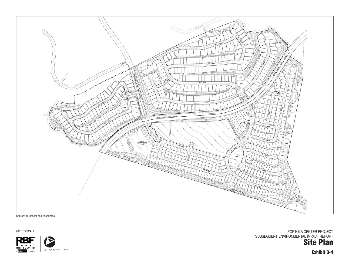

Source: Hunsaker and Associates.

NOT TO SCALE



06/13 • JN 10-107644 [130079]

**Site Plan** PORTOLA CENTER PROJECT SUBSEQUENT ENVIRONMENTAL IMPACT REPORT

**Exhibit 3-4**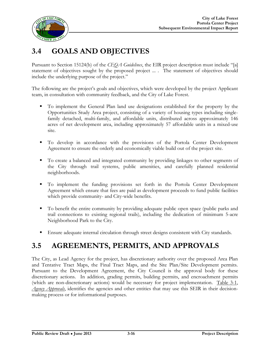

## **3.4 GOALS AND OBJECTIVES**

Pursuant to Section 15124(b) of the *CEQA Guidelines*, the EIR project description must include "[a] statement of objectives sought by the proposed project ... . The statement of objectives should include the underlying purpose of the project."

The following are the project's goals and objectives, which were developed by the project Applicant team, in consultation with community feedback, and the City of Lake Forest.

- To implement the General Plan land use designations established for the property by the Opportunities Study Area project, consisting of a variety of housing types including singlefamily detached, multi-family, and affordable units, distributed across approximately 146 acres of net development area, including approximately 57 affordable units in a mixed-use site.
- To develop in accordance with the provisions of the Portola Center Development Agreement to ensure the orderly and economically viable build out of the project site.
- To create a balanced and integrated community by providing linkages to other segments of the City through trail systems, public amenities, and carefully planned residential neighborhoods.
- To implement the funding provisions set forth in the Portola Center Development Agreement which ensure that fees are paid as development proceeds to fund public facilities which provide community- and City-wide benefits.
- To benefit the entire community by providing adequate public open space (public parks and trail connections to existing regional trails), including the dedication of minimum 5-acre Neighborhood Park to the City.
- Ensure adequate internal circulation through street designs consistent with City standards.

## **3.5 AGREEMENTS, PERMITS, AND APPROVALS**

The City, as Lead Agency for the project, has discretionary authority over the proposed Area Plan and Tentative Tract Maps, the Final Tract Maps, and the Site Plan/Site Development permits. Pursuant to the Development Agreement, the City Council is the approval body for these discretionary actions. In addition, grading permits, building permits, and encroachment permits (which are non-discretionary actions) would be necessary for project implementation. Table 3-1, *Agency Approvals*, identifies the agencies and other entities that may use this SEIR in their decisionmaking process or for informational purposes.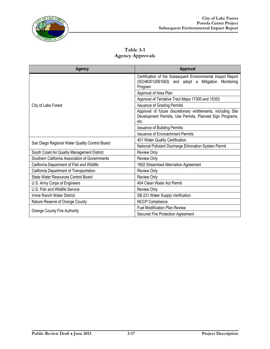

**Table 3-1 Agency Approvals**

| Agency                                         | Approval                                                                                                                          |
|------------------------------------------------|-----------------------------------------------------------------------------------------------------------------------------------|
| City of Lake Forest                            | Certification of the Subsequent Environmental Impact Report<br>(SCH#2012061063) and adopt a Mitigation<br>Monitoring<br>Program   |
|                                                | Approval of Area Plan                                                                                                             |
|                                                | Approval of Tentative Tract Maps 17300 and 15353                                                                                  |
|                                                | <b>Issuance of Grading Permits</b>                                                                                                |
|                                                | Approval of future discretionary entitlements, including Site<br>Development Permits, Use Permits, Planned Sign Programs,<br>etc. |
|                                                | <b>Issuance of Building Permits</b>                                                                                               |
|                                                | <b>Issuance of Encroachment Permits</b>                                                                                           |
| San Diego Regional Water Quality Control Board | 401 Water Quality Certification                                                                                                   |
|                                                | National Pollutant Discharge Elimination System Permit                                                                            |
| South Coast Air Quality Management District    | <b>Review Only</b>                                                                                                                |
| Southern California Association of Governments | <b>Review Only</b>                                                                                                                |
| California Department of Fish and Wildlife     | 1602 Streambed Alternation Agreement                                                                                              |
| California Department of Transportation        | <b>Review Only</b>                                                                                                                |
| State Water Resources Control Board            | <b>Review Only</b>                                                                                                                |
| U.S. Army Corps of Engineers                   | 404 Clean Water Act Permit                                                                                                        |
| U.S. Fish and Wildlife Service                 | <b>Review Only</b>                                                                                                                |
| Irvine Ranch Water District                    | SB 221 Water Supply Verification                                                                                                  |
| Nature Reserve of Orange County                | <b>NCCP Compliance</b>                                                                                                            |
| <b>Orange County Fire Authority</b>            | <b>Fuel Modification Plan Review</b>                                                                                              |
|                                                | Secured Fire Protection Agreement                                                                                                 |